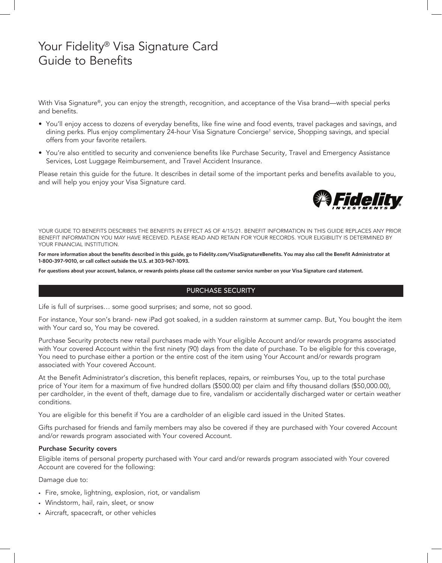# Your Fidelity® Visa Signature Card Guide to Benefits

With Visa Signature®, you can enjoy the strength, recognition, and acceptance of the Visa brand—with special perks and benefits.

- You'll enjoy access to dozens of everyday benefits, like fine wine and food events, travel packages and savings, and dining perks. Plus enjoy complimentary 24-hour Visa Signature Concierge† service, Shopping savings, and special offers from your favorite retailers.
- You're also entitled to security and convenience benefits like Purchase Security, Travel and Emergency Assistance Services, Lost Luggage Reimbursement, and Travel Accident Insurance.

Please retain this guide for the future. It describes in detail some of the important perks and benefits available to you, and will help you enjoy your Visa Signature card.



YOUR GUIDE TO BENEFITS DESCRIBES THE BENEFITS IN EFFECT AS OF 4/15/21. BENEFIT INFORMATION IN THIS GUIDE REPLACES ANY PRIOR BENEFIT INFORMATION YOU MAY HAVE RECEIVED. PLEASE READ AND RETAIN FOR YOUR RECORDS. YOUR ELIGIBILITY IS DETERMINED BY YOUR FINANCIAL INSTITUTION.

**For more information about the benefits described in this guide, go to Fidelity.com/VisaSignatureBenefits. You may also call the Benefit Administrator at 1-800-397-9010, or call collect outside the U.S. at 303-967-1093.**

**For questions about your account, balance, or rewards points please call the customer service number on your Visa Signature card statement.**

## PURCHASE SECURITY

Life is full of surprises… some good surprises; and some, not so good.

For instance, Your son's brand- new iPad got soaked, in a sudden rainstorm at summer camp. But, You bought the item with Your card so, You may be covered.

Purchase Security protects new retail purchases made with Your eligible Account and/or rewards programs associated with Your covered Account within the first ninety (90) days from the date of purchase. To be eligible for this coverage, You need to purchase either a portion or the entire cost of the item using Your Account and/or rewards program associated with Your covered Account.

At the Benefit Administrator's discretion, this benefit replaces, repairs, or reimburses You, up to the total purchase price of Your item for a maximum of five hundred dollars (\$500.00) per claim and fifty thousand dollars (\$50,000.00), per cardholder, in the event of theft, damage due to fire, vandalism or accidentally discharged water or certain weather conditions.

You are eligible for this benefit if You are a cardholder of an eligible card issued in the United States.

Gifts purchased for friends and family members may also be covered if they are purchased with Your covered Account and/or rewards program associated with Your covered Account.

#### Purchase Security covers

Eligible items of personal property purchased with Your card and/or rewards program associated with Your covered Account are covered for the following:

Damage due to:

- Fire, smoke, lightning, explosion, riot, or vandalism
- Windstorm, hail, rain, sleet, or snow
- Aircraft, spacecraft, or other vehicles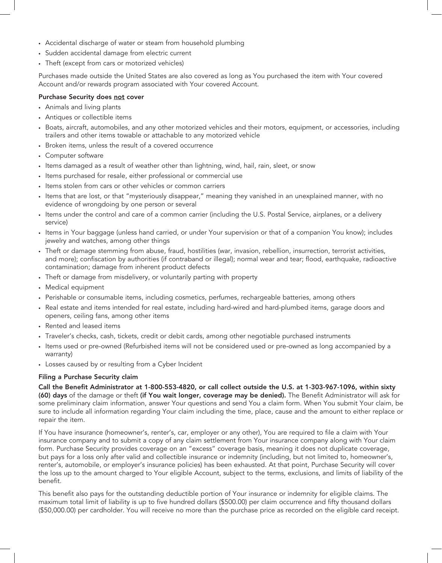- Accidental discharge of water or steam from household plumbing
- Sudden accidental damage from electric current
- Theft (except from cars or motorized vehicles)

Purchases made outside the United States are also covered as long as You purchased the item with Your covered Account and/or rewards program associated with Your covered Account.

## Purchase Security does not cover

- Animals and living plants
- Antiques or collectible items
- Boats, aircraft, automobiles, and any other motorized vehicles and their motors, equipment, or accessories, including trailers and other items towable or attachable to any motorized vehicle
- Broken items, unless the result of a covered occurrence
- Computer software
- Items damaged as a result of weather other than lightning, wind, hail, rain, sleet, or snow
- Items purchased for resale, either professional or commercial use
- Items stolen from cars or other vehicles or common carriers
- Items that are lost, or that "mysteriously disappear," meaning they vanished in an unexplained manner, with no evidence of wrongdoing by one person or several
- Items under the control and care of a common carrier (including the U.S. Postal Service, airplanes, or a delivery service)
- Items in Your baggage (unless hand carried, or under Your supervision or that of a companion You know); includes jewelry and watches, among other things
- Theft or damage stemming from abuse, fraud, hostilities (war, invasion, rebellion, insurrection, terrorist activities, and more); confiscation by authorities (if contraband or illegal); normal wear and tear; flood, earthquake, radioactive contamination; damage from inherent product defects
- Theft or damage from misdelivery, or voluntarily parting with property
- Medical equipment
- Perishable or consumable items, including cosmetics, perfumes, rechargeable batteries, among others
- Real estate and items intended for real estate, including hard-wired and hard-plumbed items, garage doors and openers, ceiling fans, among other items
- Rented and leased items
- Traveler's checks, cash, tickets, credit or debit cards, among other negotiable purchased instruments
- Items used or pre-owned (Refurbished items will not be considered used or pre-owned as long accompanied by a warranty)
- Losses caused by or resulting from a Cyber Incident

#### Filing a Purchase Security claim

Call the Benefit Administrator at 1-800-553-4820, or call collect outside the U.S. at 1-303-967-1096, within sixty (60) days of the damage or theft (if You wait longer, coverage may be denied). The Benefit Administrator will ask for some preliminary claim information, answer Your questions and send You a claim form. When You submit Your claim, be sure to include all information regarding Your claim including the time, place, cause and the amount to either replace or repair the item.

If You have insurance (homeowner's, renter's, car, employer or any other), You are required to file a claim with Your insurance company and to submit a copy of any claim settlement from Your insurance company along with Your claim form. Purchase Security provides coverage on an "excess" coverage basis, meaning it does not duplicate coverage, but pays for a loss only after valid and collectible insurance or indemnity (including, but not limited to, homeowner's, renter's, automobile, or employer's insurance policies) has been exhausted. At that point, Purchase Security will cover the loss up to the amount charged to Your eligible Account, subject to the terms, exclusions, and limits of liability of the benefit.

This benefit also pays for the outstanding deductible portion of Your insurance or indemnity for eligible claims. The maximum total limit of liability is up to five hundred dollars (\$500.00) per claim occurrence and fifty thousand dollars (\$50,000.00) per cardholder. You will receive no more than the purchase price as recorded on the eligible card receipt.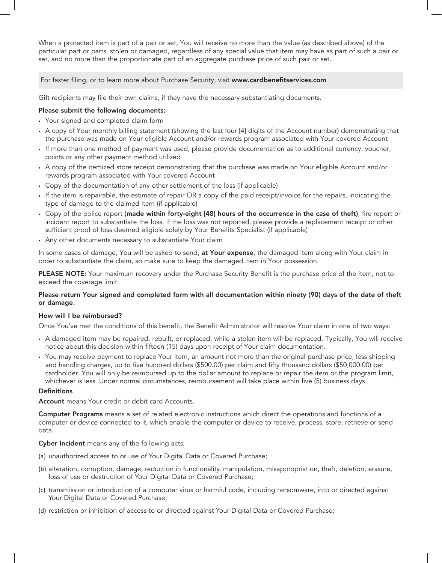When a protected item is part of a pair or set, You will receive no more than the value (as described above) of the particular part or parts, stolen or damaged, regardless of any special value that item may have as part of such a pair or set, and no more than the proportionate part of an aggregate purchase price of such pair or set.

For faster filing, or to learn more about Purchase Security, visit www.cardbenefitservices.com

Gift recipients may file their own claims, if they have the necessary substantiating documents.

## Please submit the following documents:

- Your signed and completed claim form
- A copy of Your monthly billing statement (showing the last four [4] digits of the Account number) demonstrating that the purchase was made on Your eligible Account and/or rewards program associated with Your covered Account
- If more than one method of payment was used, please provide documentation as to additional currency, voucher, points or any other payment method utilized
- A copy of the itemized store receipt demonstrating that the purchase was made on Your eligible Account and/or rewards program associated with Your covered Account
- Copy of the documentation of any other settlement of the loss (if applicable)
- If the item is repairable, the estimate of repair OR a copy of the paid receipt/invoice for the repairs, indicating the type of damage to the claimed item (if applicable)
- Copy of the police report (made within forty-eight [48] hours of the occurrence in the case of theft), fire report or incident report to substantiate the loss. If the loss was not reported, please provide a replacement receipt or other sufficient proof of loss deemed eligible solely by Your Benefits Specialist (if applicable)
- Any other documents necessary to substantiate Your claim

In some cases of damage, You will be asked to send, at Your expense, the damaged item along with Your claim in order to substantiate the claim, so make sure to keep the damaged item in Your possession.

PLEASE NOTE: Your maximum recovery under the Purchase Security Benefit is the purchase price of the item, not to exceed the coverage limit.

## Please return Your signed and completed form with all documentation within ninety (90) days of the date of theft or damage.

## How will I be reimbursed?

Once You've met the conditions of this benefit, the Benefit Administrator will resolve Your claim in one of two ways:

- A damaged item may be repaired, rebuilt, or replaced, while a stolen item will be replaced. Typically, You will receive notice about this decision within fifteen (15) days upon receipt of Your claim documentation.
- You may receive payment to replace Your item, an amount not more than the original purchase price, less shipping and handling charges, up to five hundred dollars (\$500.00) per claim and fifty thousand dollars (\$50,000.00) per cardholder. You will only be reimbursed up to the dollar amount to replace or repair the item or the program limit, whichever is less. Under normal circumstances, reimbursement will take place within five (5) business days.

## **Definitions**

Account means Your credit or debit card Accounts.

Computer Programs means a set of related electronic instructions which direct the operations and functions of a computer or device connected to it, which enable the computer or device to receive, process, store, retrieve or send data.

## Cyber Incident means any of the following acts:

- (a) unauthorized access to or use of Your Digital Data or Covered Purchase;
- (b) alteration, corruption, damage, reduction in functionality, manipulation, misappropriation, theft, deletion, erasure, loss of use or destruction of Your Digital Data or Covered Purchase;
- (c) transmission or introduction of a computer virus or harmful code, including ransomware, into or directed against Your Digital Data or Covered Purchase;
- (d) restriction or inhibition of access to or directed against Your Digital Data or Covered Purchase;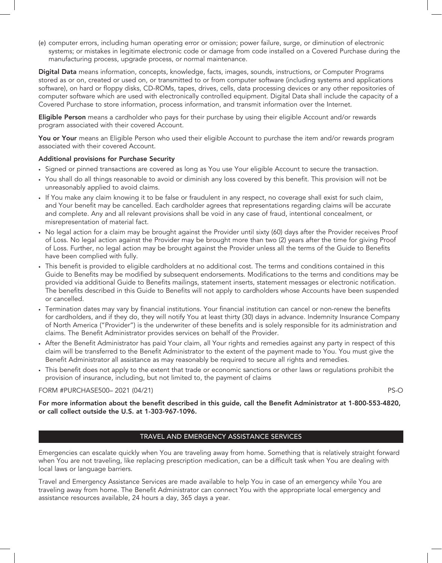(e) computer errors, including human operating error or omission; power failure, surge, or diminution of electronic systems; or mistakes in legitimate electronic code or damage from code installed on a Covered Purchase during the manufacturing process, upgrade process, or normal maintenance.

Digital Data means information, concepts, knowledge, facts, images, sounds, instructions, or Computer Programs stored as or on, created or used on, or transmitted to or from computer software (including systems and applications software), on hard or floppy disks, CD-ROMs, tapes, drives, cells, data processing devices or any other repositories of computer software which are used with electronically controlled equipment. Digital Data shall include the capacity of a Covered Purchase to store information, process information, and transmit information over the Internet.

Eligible Person means a cardholder who pays for their purchase by using their eligible Account and/or rewards program associated with their covered Account.

You or Your means an Eligible Person who used their eligible Account to purchase the item and/or rewards program associated with their covered Account.

#### Additional provisions for Purchase Security

- Signed or pinned transactions are covered as long as You use Your eligible Account to secure the transaction.
- You shall do all things reasonable to avoid or diminish any loss covered by this benefit. This provision will not be unreasonably applied to avoid claims.
- If You make any claim knowing it to be false or fraudulent in any respect, no coverage shall exist for such claim, and Your benefit may be cancelled. Each cardholder agrees that representations regarding claims will be accurate and complete. Any and all relevant provisions shall be void in any case of fraud, intentional concealment, or misrepresentation of material fact.
- No legal action for a claim may be brought against the Provider until sixty (60) days after the Provider receives Proof of Loss. No legal action against the Provider may be brought more than two (2) years after the time for giving Proof of Loss. Further, no legal action may be brought against the Provider unless all the terms of the Guide to Benefits have been complied with fully.
- This benefit is provided to eligible cardholders at no additional cost. The terms and conditions contained in this Guide to Benefits may be modified by subsequent endorsements. Modifications to the terms and conditions may be provided via additional Guide to Benefits mailings, statement inserts, statement messages or electronic notification. The benefits described in this Guide to Benefits will not apply to cardholders whose Accounts have been suspended or cancelled.
- Termination dates may vary by financial institutions. Your financial institution can cancel or non-renew the benefits for cardholders, and if they do, they will notify You at least thirty (30) days in advance. Indemnity Insurance Company of North America ("Provider") is the underwriter of these benefits and is solely responsible for its administration and claims. The Benefit Administrator provides services on behalf of the Provider.
- After the Benefit Administrator has paid Your claim, all Your rights and remedies against any party in respect of this claim will be transferred to the Benefit Administrator to the extent of the payment made to You. You must give the Benefit Administrator all assistance as may reasonably be required to secure all rights and remedies.
- This benefit does not apply to the extent that trade or economic sanctions or other laws or regulations prohibit the provision of insurance, including, but not limited to, the payment of claims

## FORM #PURCHASE500– 2021 (04/21) PS-O

For more information about the benefit described in this guide, call the Benefit Administrator at 1-800-553-4820, or call collect outside the U.S. at 1-303-967-1096.

## TRAVEL AND EMERGENCY ASSISTANCE SERVICES

Emergencies can escalate quickly when You are traveling away from home. Something that is relatively straight forward when You are not traveling, like replacing prescription medication, can be a difficult task when You are dealing with local laws or language barriers.

Travel and Emergency Assistance Services are made available to help You in case of an emergency while You are traveling away from home. The Benefit Administrator can connect You with the appropriate local emergency and assistance resources available, 24 hours a day, 365 days a year.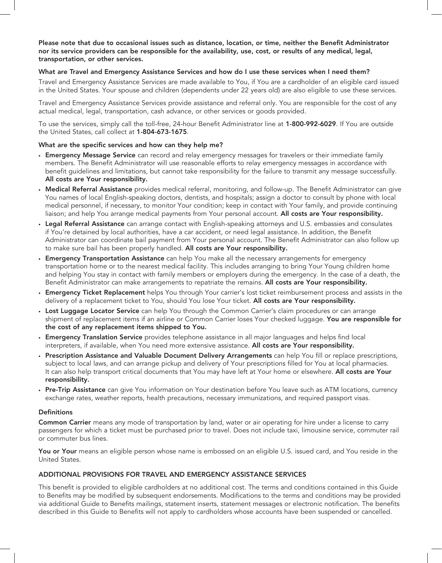Please note that due to occasional issues such as distance, location, or time, neither the Benefit Administrator nor its service providers can be responsible for the availability, use, cost, or results of any medical, legal, transportation, or other services.

## What are Travel and Emergency Assistance Services and how do I use these services when I need them?

Travel and Emergency Assistance Services are made available to You, if You are a cardholder of an eligible card issued in the United States. Your spouse and children (dependents under 22 years old) are also eligible to use these services.

Travel and Emergency Assistance Services provide assistance and referral only. You are responsible for the cost of any actual medical, legal, transportation, cash advance, or other services or goods provided.

To use the services, simply call the toll-free, 24-hour Benefit Administrator line at 1-800-992-6029. If You are outside the United States, call collect at 1-804-673-1675.

## What are the specific services and how can they help me?

- Emergency Message Service can record and relay emergency messages for travelers or their immediate family members. The Benefit Administrator will use reasonable efforts to relay emergency messages in accordance with benefit guidelines and limitations, but cannot take responsibility for the failure to transmit any message successfully. All costs are Your responsibility.
- Medical Referral Assistance provides medical referral, monitoring, and follow-up. The Benefit Administrator can give You names of local English-speaking doctors, dentists, and hospitals; assign a doctor to consult by phone with local medical personnel, if necessary, to monitor Your condition; keep in contact with Your family, and provide continuing liaison; and help You arrange medical payments from Your personal account. All costs are Your responsibility.
- Legal Referral Assistance can arrange contact with English-speaking attorneys and U.S. embassies and consulates if You're detained by local authorities, have a car accident, or need legal assistance. In addition, the Benefit Administrator can coordinate bail payment from Your personal account. The Benefit Administrator can also follow up to make sure bail has been properly handled. All costs are Your responsibility.
- Emergency Transportation Assistance can help You make all the necessary arrangements for emergency transportation home or to the nearest medical facility. This includes arranging to bring Your Young children home and helping You stay in contact with family members or employers during the emergency. In the case of a death, the Benefit Administrator can make arrangements to repatriate the remains. All costs are Your responsibility.
- **Emergency Ticket Replacement** helps You through Your carrier's lost ticket reimbursement process and assists in the delivery of a replacement ticket to You, should You lose Your ticket. All costs are Your responsibility.
- Lost Luggage Locator Service can help You through the Common Carrier's claim procedures or can arrange shipment of replacement items if an airline or Common Carrier loses Your checked luggage. You are responsible for the cost of any replacement items shipped to You.
- **Emergency Translation Service** provides telephone assistance in all major languages and helps find local interpreters, if available, when You need more extensive assistance. All costs are Your responsibility.
- Prescription Assistance and Valuable Document Delivery Arrangements can help You fill or replace prescriptions, subject to local laws, and can arrange pickup and delivery of Your prescriptions filled for You at local pharmacies. It can also help transport critical documents that You may have left at Your home or elsewhere. All costs are Your responsibility.
- Pre-Trip Assistance can give You information on Your destination before You leave such as ATM locations, currency exchange rates, weather reports, health precautions, necessary immunizations, and required passport visas.

#### Definitions

Common Carrier means any mode of transportation by land, water or air operating for hire under a license to carry passengers for which a ticket must be purchased prior to travel. Does not include taxi, limousine service, commuter rail or commuter bus lines.

You or Your means an eligible person whose name is embossed on an eligible U.S. issued card, and You reside in the United States.

## ADDITIONAL PROVISIONS FOR TRAVEL AND EMERGENCY ASSISTANCE SERVICES

This benefit is provided to eligible cardholders at no additional cost. The terms and conditions contained in this Guide to Benefits may be modified by subsequent endorsements. Modifications to the terms and conditions may be provided via additional Guide to Benefits mailings, statement inserts, statement messages or electronic notification. The benefits described in this Guide to Benefits will not apply to cardholders whose accounts have been suspended or cancelled.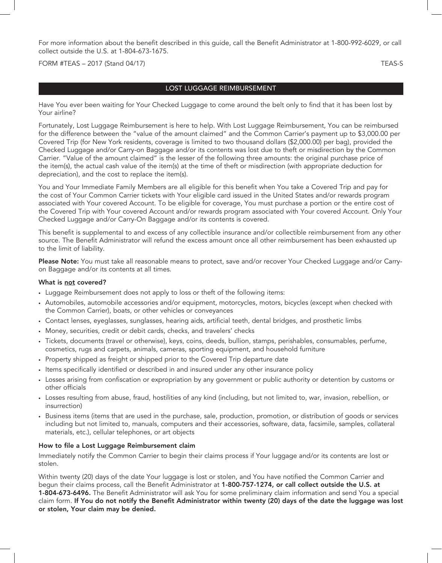For more information about the benefit described in this guide, call the Benefit Administrator at 1-800-992-6029, or call collect outside the U.S. at 1-804-673-1675.

FORM #TEAS – 2017 (Stand 04/17) TEAS-S

# LOST LUGGAGE REIMBURSEMENT

Have You ever been waiting for Your Checked Luggage to come around the belt only to find that it has been lost by Your airline?

Fortunately, Lost Luggage Reimbursement is here to help. With Lost Luggage Reimbursement, You can be reimbursed for the difference between the "value of the amount claimed" and the Common Carrier's payment up to \$3,000.00 per Covered Trip (for New York residents, coverage is limited to two thousand dollars (\$2,000.00) per bag), provided the Checked Luggage and/or Carry-on Baggage and/or its contents was lost due to theft or misdirection by the Common Carrier. "Value of the amount claimed" is the lesser of the following three amounts: the original purchase price of the item(s), the actual cash value of the item(s) at the time of theft or misdirection (with appropriate deduction for depreciation), and the cost to replace the item(s).

You and Your Immediate Family Members are all eligible for this benefit when You take a Covered Trip and pay for the cost of Your Common Carrier tickets with Your eligible card issued in the United States and/or rewards program associated with Your covered Account. To be eligible for coverage, You must purchase a portion or the entire cost of the Covered Trip with Your covered Account and/or rewards program associated with Your covered Account. Only Your Checked Luggage and/or Carry-On Baggage and/or its contents is covered.

This benefit is supplemental to and excess of any collectible insurance and/or collectible reimbursement from any other source. The Benefit Administrator will refund the excess amount once all other reimbursement has been exhausted up to the limit of liability.

Please Note: You must take all reasonable means to protect, save and/or recover Your Checked Luggage and/or Carryon Baggage and/or its contents at all times.

#### What is not covered?

- Luggage Reimbursement does not apply to loss or theft of the following items:
- Automobiles, automobile accessories and/or equipment, motorcycles, motors, bicycles (except when checked with the Common Carrier), boats, or other vehicles or conveyances
- Contact lenses, eyeglasses, sunglasses, hearing aids, artificial teeth, dental bridges, and prosthetic limbs
- Money, securities, credit or debit cards, checks, and travelers' checks
- Tickets, documents (travel or otherwise), keys, coins, deeds, bullion, stamps, perishables, consumables, perfume, cosmetics, rugs and carpets, animals, cameras, sporting equipment, and household furniture
- Property shipped as freight or shipped prior to the Covered Trip departure date
- Items specifically identified or described in and insured under any other insurance policy
- Losses arising from confiscation or expropriation by any government or public authority or detention by customs or other officials
- Losses resulting from abuse, fraud, hostilities of any kind (including, but not limited to, war, invasion, rebellion, or insurrection)
- Business items (items that are used in the purchase, sale, production, promotion, or distribution of goods or services including but not limited to, manuals, computers and their accessories, software, data, facsimile, samples, collateral materials, etc.), cellular telephones, or art objects

#### How to file a Lost Luggage Reimbursement claim

Immediately notify the Common Carrier to begin their claims process if Your luggage and/or its contents are lost or stolen.

Within twenty (20) days of the date Your luggage is lost or stolen, and You have notified the Common Carrier and begun their claims process, call the Benefit Administrator at 1-800-757-1274, or call collect outside the U.S. at 1-804-673-6496. The Benefit Administrator will ask You for some preliminary claim information and send You a special claim form. If You do not notify the Benefit Administrator within twenty (20) days of the date the luggage was lost or stolen, Your claim may be denied.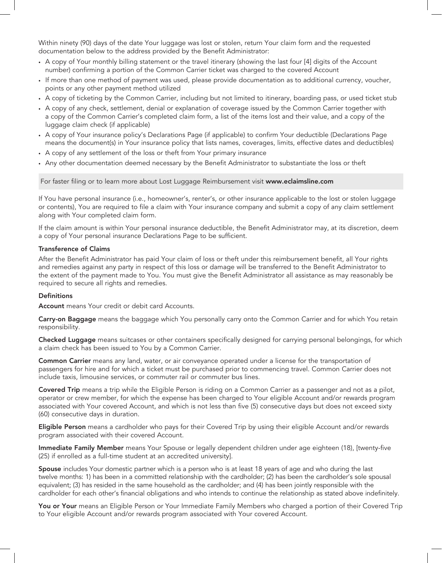Within ninety (90) days of the date Your luggage was lost or stolen, return Your claim form and the requested documentation below to the address provided by the Benefit Administrator:

- A copy of Your monthly billing statement or the travel itinerary (showing the last four [4] digits of the Account number) confirming a portion of the Common Carrier ticket was charged to the covered Account
- If more than one method of payment was used, please provide documentation as to additional currency, voucher, points or any other payment method utilized
- A copy of ticketing by the Common Carrier, including but not limited to itinerary, boarding pass, or used ticket stub
- A copy of any check, settlement, denial or explanation of coverage issued by the Common Carrier together with a copy of the Common Carrier's completed claim form, a list of the items lost and their value, and a copy of the luggage claim check (if applicable)
- A copy of Your insurance policy's Declarations Page (if applicable) to confirm Your deductible (Declarations Page means the document(s) in Your insurance policy that lists names, coverages, limits, effective dates and deductibles)
- A copy of any settlement of the loss or theft from Your primary insurance
- Any other documentation deemed necessary by the Benefit Administrator to substantiate the loss or theft

For faster filing or to learn more about Lost Luggage Reimbursement visit www.eclaimsline.com

If You have personal insurance (i.e., homeowner's, renter's, or other insurance applicable to the lost or stolen luggage or contents), You are required to file a claim with Your insurance company and submit a copy of any claim settlement along with Your completed claim form.

If the claim amount is within Your personal insurance deductible, the Benefit Administrator may, at its discretion, deem a copy of Your personal insurance Declarations Page to be sufficient.

#### Transference of Claims

After the Benefit Administrator has paid Your claim of loss or theft under this reimbursement benefit, all Your rights and remedies against any party in respect of this loss or damage will be transferred to the Benefit Administrator to the extent of the payment made to You. You must give the Benefit Administrator all assistance as may reasonably be required to secure all rights and remedies.

#### **Definitions**

Account means Your credit or debit card Accounts.

Carry-on Baggage means the baggage which You personally carry onto the Common Carrier and for which You retain responsibility.

Checked Luggage means suitcases or other containers specifically designed for carrying personal belongings, for which a claim check has been issued to You by a Common Carrier.

Common Carrier means any land, water, or air conveyance operated under a license for the transportation of passengers for hire and for which a ticket must be purchased prior to commencing travel. Common Carrier does not include taxis, limousine services, or commuter rail or commuter bus lines.

Covered Trip means a trip while the Eligible Person is riding on a Common Carrier as a passenger and not as a pilot, operator or crew member, for which the expense has been charged to Your eligible Account and/or rewards program associated with Your covered Account, and which is not less than five (5) consecutive days but does not exceed sixty (60) consecutive days in duration.

Eligible Person means a cardholder who pays for their Covered Trip by using their eligible Account and/or rewards program associated with their covered Account.

Immediate Family Member means Your Spouse or legally dependent children under age eighteen (18), [twenty-five (25) if enrolled as a full-time student at an accredited university].

Spouse includes Your domestic partner which is a person who is at least 18 years of age and who during the last twelve months: 1) has been in a committed relationship with the cardholder; (2) has been the cardholder's sole spousal equivalent; (3) has resided in the same household as the cardholder; and (4) has been jointly responsible with the cardholder for each other's financial obligations and who intends to continue the relationship as stated above indefinitely.

You or Your means an Eligible Person or Your Immediate Family Members who charged a portion of their Covered Trip to Your eligible Account and/or rewards program associated with Your covered Account.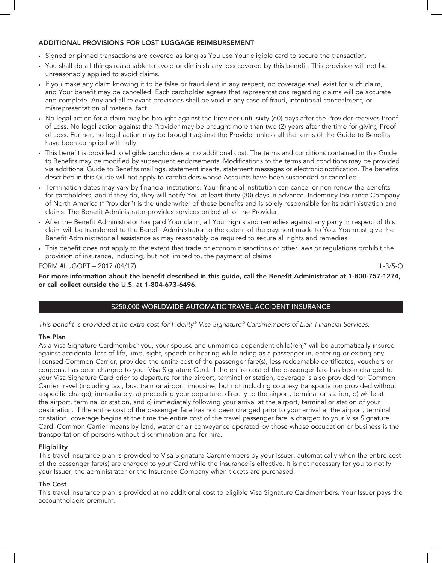## ADDITIONAL PROVISIONS FOR LOST LUGGAGE REIMBURSEMENT

- Signed or pinned transactions are covered as long as You use Your eligible card to secure the transaction.
- You shall do all things reasonable to avoid or diminish any loss covered by this benefit. This provision will not be unreasonably applied to avoid claims.
- If you make any claim knowing it to be false or fraudulent in any respect, no coverage shall exist for such claim, and Your benefit may be cancelled. Each cardholder agrees that representations regarding claims will be accurate and complete. Any and all relevant provisions shall be void in any case of fraud, intentional concealment, or misrepresentation of material fact.
- No legal action for a claim may be brought against the Provider until sixty (60) days after the Provider receives Proof of Loss. No legal action against the Provider may be brought more than two (2) years after the time for giving Proof of Loss. Further, no legal action may be brought against the Provider unless all the terms of the Guide to Benefits have been complied with fully.
- This benefit is provided to eligible cardholders at no additional cost. The terms and conditions contained in this Guide to Benefits may be modified by subsequent endorsements. Modifications to the terms and conditions may be provided via additional Guide to Benefits mailings, statement inserts, statement messages or electronic notification. The benefits described in this Guide will not apply to cardholders whose Accounts have been suspended or cancelled.
- Termination dates may vary by financial institutions. Your financial institution can cancel or non-renew the benefits for cardholders, and if they do, they will notify You at least thirty (30) days in advance. Indemnity Insurance Company of North America ("Provider") is the underwriter of these benefits and is solely responsible for its administration and claims. The Benefit Administrator provides services on behalf of the Provider.
- After the Benefit Administrator has paid Your claim, all Your rights and remedies against any party in respect of this claim will be transferred to the Benefit Administrator to the extent of the payment made to You. You must give the Benefit Administrator all assistance as may reasonably be required to secure all rights and remedies.
- This benefit does not apply to the extent that trade or economic sanctions or other laws or regulations prohibit the provision of insurance, including, but not limited to, the payment of claims

FORM #LUGOPT – 2017 (04/17) LL-3/5-O

For more information about the benefit described in this guide, call the Benefit Administrator at 1-800-757-1274, or call collect outside the U.S. at 1-804-673-6496.

# \$250,000 WORLDWIDE AUTOMATIC TRAVEL ACCIDENT INSURANCE

*This benefit is provided at no extra cost for Fidelity® Visa Signature® Cardmembers of Elan Financial Services.*

#### The Plan

As a Visa Signature Cardmember you, your spouse and unmarried dependent child(ren)\* will be automatically insured against accidental loss of life, limb, sight, speech or hearing while riding as a passenger in, entering or exiting any licensed Common Carrier, provided the entire cost of the passenger fare(s), less redeemable certificates, vouchers or coupons, has been charged to your Visa Signature Card. If the entire cost of the passenger fare has been charged to your Visa Signature Card prior to departure for the airport, terminal or station, coverage is also provided for Common Carrier travel (including taxi, bus, train or airport limousine, but not including courtesy transportation provided without a specific charge), immediately, a) preceding your departure, directly to the airport, terminal or station, b) while at the airport, terminal or station, and c) immediately following your arrival at the airport, terminal or station of your destination. If the entire cost of the passenger fare has not been charged prior to your arrival at the airport, terminal or station, coverage begins at the time the entire cost of the travel passenger fare is charged to your Visa Signature Card. Common Carrier means by land, water or air conveyance operated by those whose occupation or business is the transportation of persons without discrimination and for hire.

## **Eligibility**

This travel insurance plan is provided to Visa Signature Cardmembers by your Issuer, automatically when the entire cost of the passenger fare(s) are charged to your Card while the insurance is effective. It is not necessary for you to notify your Issuer, the administrator or the Insurance Company when tickets are purchased.

#### The Cost

This travel insurance plan is provided at no additional cost to eligible Visa Signature Cardmembers. Your Issuer pays the accountholders premium.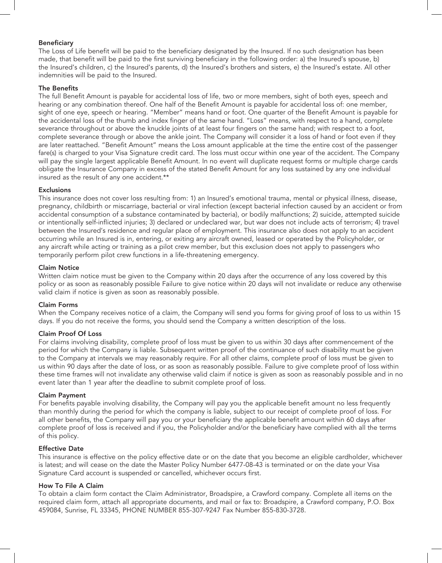## Beneficiary

The Loss of Life benefit will be paid to the beneficiary designated by the Insured. If no such designation has been made, that benefit will be paid to the first surviving beneficiary in the following order: a) the Insured's spouse, b) the Insured's children, c) the Insured's parents, d) the Insured's brothers and sisters, e) the Insured's estate. All other indemnities will be paid to the Insured.

## The Benefits

The full Benefit Amount is payable for accidental loss of life, two or more members, sight of both eyes, speech and hearing or any combination thereof. One half of the Benefit Amount is payable for accidental loss of: one member, sight of one eye, speech or hearing. "Member" means hand or foot. One quarter of the Benefit Amount is payable for the accidental loss of the thumb and index finger of the same hand. "Loss" means, with respect to a hand, complete severance throughout or above the knuckle joints of at least four fingers on the same hand; with respect to a foot, complete severance through or above the ankle joint. The Company will consider it a loss of hand or foot even if they are later reattached. "Benefit Amount" means the Loss amount applicable at the time the entire cost of the passenger fare(s) is charged to your Visa Signature credit card. The loss must occur within one year of the accident. The Company will pay the single largest applicable Benefit Amount. In no event will duplicate request forms or multiple charge cards obligate the Insurance Company in excess of the stated Benefit Amount for any loss sustained by any one individual insured as the result of any one accident.\*\*

## **Exclusions**

This insurance does not cover loss resulting from: 1) an Insured's emotional trauma, mental or physical illness, disease, pregnancy, childbirth or miscarriage, bacterial or viral infection (except bacterial infection caused by an accident or from accidental consumption of a substance contaminated by bacteria), or bodily malfunctions; 2) suicide, attempted suicide or intentionally self-inflicted injuries; 3) declared or undeclared war, but war does not include acts of terrorism; 4) travel between the Insured's residence and regular place of employment. This insurance also does not apply to an accident occurring while an Insured is in, entering, or exiting any aircraft owned, leased or operated by the Policyholder, or any aircraft while acting or training as a pilot crew member, but this exclusion does not apply to passengers who temporarily perform pilot crew functions in a life-threatening emergency.

#### Claim Notice

Written claim notice must be given to the Company within 20 days after the occurrence of any loss covered by this policy or as soon as reasonably possible Failure to give notice within 20 days will not invalidate or reduce any otherwise valid claim if notice is given as soon as reasonably possible.

## Claim Forms

When the Company receives notice of a claim, the Company will send you forms for giving proof of loss to us within 15 days. If you do not receive the forms, you should send the Company a written description of the loss.

## Claim Proof Of Loss

For claims involving disability, complete proof of loss must be given to us within 30 days after commencement of the period for which the Company is liable. Subsequent written proof of the continuance of such disability must be given to the Company at intervals we may reasonably require. For all other claims, complete proof of loss must be given to us within 90 days after the date of loss, or as soon as reasonably possible. Failure to give complete proof of loss within these time frames will not invalidate any otherwise valid claim if notice is given as soon as reasonably possible and in no event later than 1 year after the deadline to submit complete proof of loss.

#### Claim Payment

For benefits payable involving disability, the Company will pay you the applicable benefit amount no less frequently than monthly during the period for which the company is liable, subject to our receipt of complete proof of loss. For all other benefits, the Company will pay you or your beneficiary the applicable benefit amount within 60 days after complete proof of loss is received and if you, the Policyholder and/or the beneficiary have complied with all the terms of this policy.

#### Effective Date

This insurance is effective on the policy effective date or on the date that you become an eligible cardholder, whichever is latest; and will cease on the date the Master Policy Number 6477-08-43 is terminated or on the date your Visa Signature Card account is suspended or cancelled, whichever occurs first.

#### How To File A Claim

To obtain a claim form contact the Claim Administrator, Broadspire, a Crawford company. Complete all items on the required claim form, attach all appropriate documents, and mail or fax to: Broadspire, a Crawford company, P.O. Box 459084, Sunrise, FL 33345, PHONE NUMBER 855-307-9247 Fax Number 855-830-3728.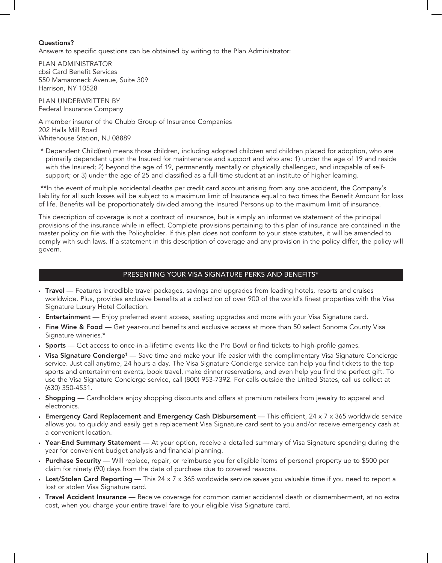#### Questions?

Answers to specific questions can be obtained by writing to the Plan Administrator:

PLAN ADMINISTRATOR cbsi Card Benefit Services 550 Mamaroneck Avenue, Suite 309 Harrison, NY 10528

PLAN UNDERWRITTEN BY Federal Insurance Company

A member insurer of the Chubb Group of Insurance Companies 202 Halls Mill Road Whitehouse Station, NJ 08889

 \* Dependent Child(ren) means those children, including adopted children and children placed for adoption, who are primarily dependent upon the Insured for maintenance and support and who are: 1) under the age of 19 and reside with the Insured; 2) beyond the age of 19, permanently mentally or physically challenged, and incapable of selfsupport; or 3) under the age of 25 and classified as a full-time student at an institute of higher learning.

 \*\*In the event of multiple accidental deaths per credit card account arising from any one accident, the Company's liability for all such losses will be subject to a maximum limit of Insurance equal to two times the Benefit Amount for loss of life. Benefits will be proportionately divided among the Insured Persons up to the maximum limit of insurance.

This description of coverage is not a contract of insurance, but is simply an informative statement of the principal provisions of the insurance while in effect. Complete provisions pertaining to this plan of insurance are contained in the master policy on file with the Policyholder. If this plan does not conform to your state statutes, it will be amended to comply with such laws. If a statement in this description of coverage and any provision in the policy differ, the policy will govern.

## PRESENTING YOUR VISA SIGNATURE PERKS AND BENEFITS\*

- Travel Features incredible travel packages, savings and upgrades from leading hotels, resorts and cruises worldwide. Plus, provides exclusive benefits at a collection of over 900 of the world's finest properties with the Visa Signature Luxury Hotel Collection.
- Entertainment Enjoy preferred event access, seating upgrades and more with your Visa Signature card.
- Fine Wine & Food Get year-round benefits and exclusive access at more than 50 select Sonoma County Visa Signature wineries.\*
- Sports Get access to once-in-a-lifetime events like the Pro Bowl or find tickets to high-profile games.
- Visa Signature Concierge<sup>†</sup> Save time and make your life easier with the complimentary Visa Signature Concierge service. Just call anytime, 24 hours a day. The Visa Signature Concierge service can help you find tickets to the top sports and entertainment events, book travel, make dinner reservations, and even help you find the perfect gift. To use the Visa Signature Concierge service, call (800) 953-7392. For calls outside the United States, call us collect at (630) 350-4551.
- Shopping Cardholders enjoy shopping discounts and offers at premium retailers from jewelry to apparel and electronics.
- Emergency Card Replacement and Emergency Cash Disbursement This efficient, 24 x 7 x 365 worldwide service allows you to quickly and easily get a replacement Visa Signature card sent to you and/or receive emergency cash at a convenient location.
- Year-End Summary Statement At your option, receive a detailed summary of Visa Signature spending during the year for convenient budget analysis and financial planning.
- Purchase Security Will replace, repair, or reimburse you for eligible items of personal property up to \$500 per claim for ninety (90) days from the date of purchase due to covered reasons.
- Lost/Stolen Card Reporting This 24 x 7 x 365 worldwide service saves you valuable time if you need to report a lost or stolen Visa Signature card.
- Travel Accident Insurance Receive coverage for common carrier accidental death or dismemberment, at no extra cost, when you charge your entire travel fare to your eligible Visa Signature card.